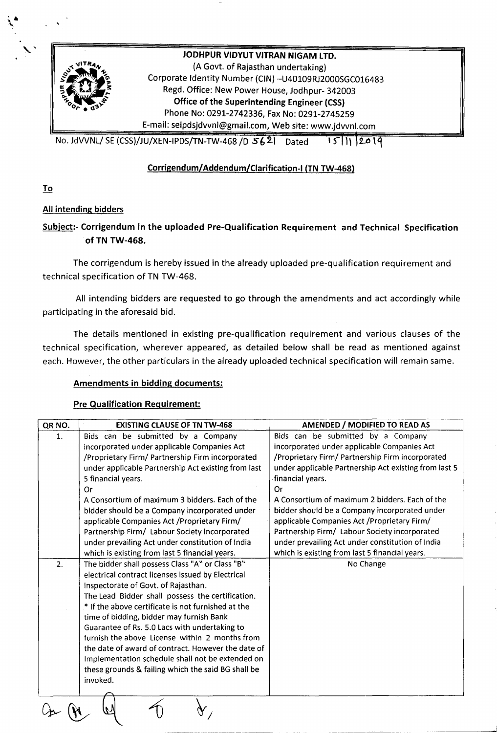

JODHPUR VIDYUT VITRAN NIGAM LTD. (A Govt. of Rajasthan undertaking) Corporate Identity Number (CIN) -U40109RJ2000SGC016483 Regd. Office: New Power House, Jodhpur- 342003 Office of the Superintending Engineer (CSS) Phone No: 0291-2742336, Fax No: 0291-2745259 E-mail: seipdsjdvvnl@gmail,com, Web site: [www.jdvvnl.com](http://www.jdvvnl.com)

No. JdVVNL/ SE (CSS)/JU/XEN-IPDS/TN-TW-468 /D  $5621$  Dated 15 | 11 | 2019

# Corrigendum/Addendum/Clarification-1 (TN TW-468)

To

••\.

## All intending bidders

# Subject:- Corrigendum in the uploaded Pre-Qualification Requirement and Technical Specification of TN TW-468.

The corrigendum is hereby issued in the already uploaded pre-qualification requirement and technical specification of TN TW-468.

All intending bidders are requested to go through the amendments and act accordingly while participating in the aforesaid bid.

The details mentioned in existing pre-qualification requirement and various clauses of the technical specification, wherever appeared, as detailed below shall be read as mentioned against each. However, the other particulars in the already uploaded technical specification will remain same.

## Amendments in bidding documents:

## Pre Qualification Requirement:

| QR NO.                                             | <b>EXISTING CLAUSE OF TN TW-468</b>                 | AMENDED / MODIFIED TO READ AS                         |  |  |
|----------------------------------------------------|-----------------------------------------------------|-------------------------------------------------------|--|--|
| $\mathbf{1}$ .                                     | Bids can be submitted by a Company                  | Bids can be submitted by a Company                    |  |  |
|                                                    | incorporated under applicable Companies Act         | incorporated under applicable Companies Act           |  |  |
|                                                    | /Proprietary Firm/ Partnership Firm incorporated    | /Proprietary Firm/ Partnership Firm incorporated      |  |  |
|                                                    | under applicable Partnership Act existing from last | under applicable Partnership Act existing from last 5 |  |  |
|                                                    | 5 financial years.                                  | financial years.                                      |  |  |
|                                                    | Or                                                  | Or                                                    |  |  |
|                                                    | A Consortium of maximum 3 bidders. Each of the      | A Consortium of maximum 2 bidders. Each of the        |  |  |
|                                                    | bidder should be a Company incorporated under       | bidder should be a Company incorporated under         |  |  |
|                                                    | applicable Companies Act / Proprietary Firm/        | applicable Companies Act / Proprietary Firm/          |  |  |
|                                                    | Partnership Firm/ Labour Society incorporated       | Partnership Firm/ Labour Society incorporated         |  |  |
|                                                    | under prevailing Act under constitution of India    | under prevailing Act under constitution of India      |  |  |
|                                                    | which is existing from last 5 financial years.      | which is existing from last 5 financial years.        |  |  |
| 2.                                                 | The bidder shall possess Class "A" or Class "B"     | No Change                                             |  |  |
|                                                    | electrical contract licenses issued by Electrical   |                                                       |  |  |
|                                                    | Inspectorate of Govt. of Rajasthan.                 |                                                       |  |  |
|                                                    | The Lead Bidder shall possess the certification.    |                                                       |  |  |
| * If the above certificate is not furnished at the |                                                     |                                                       |  |  |
|                                                    | time of bidding, bidder may furnish Bank            |                                                       |  |  |
|                                                    | Guarantee of Rs. 5.0 Lacs with undertaking to       |                                                       |  |  |
|                                                    | furnish the above License within 2 months from      |                                                       |  |  |
|                                                    | the date of award of contract. However the date of  |                                                       |  |  |
|                                                    | Implementation schedule shall not be extended on    |                                                       |  |  |
|                                                    | these grounds & failing which the said BG shall be  |                                                       |  |  |
|                                                    | invoked.                                            |                                                       |  |  |
|                                                    |                                                     |                                                       |  |  |
|                                                    |                                                     |                                                       |  |  |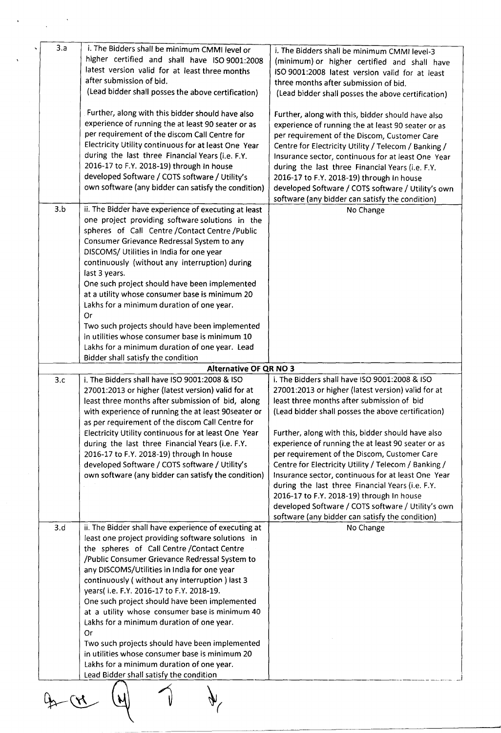| 3.a | i. The Bidders shall be minimum CMMI level or<br>higher certified and shall have ISO 9001:2008<br>latest version valid for at least three months<br>after submission of bid.<br>(Lead bidder shall posses the above certification)                                                                                                                                                                                                                                                                                                                                                                                                                                                                        | i. The Bidders shall be minimum CMMI level-3<br>(minimum) or higher certified and shall have<br>ISO 9001:2008 latest version valid for at least<br>three months after submission of bid.<br>(Lead bidder shall posses the above certification)                                                                                                                                                                                                                                                                                                                                                                                                                                             |  |  |
|-----|-----------------------------------------------------------------------------------------------------------------------------------------------------------------------------------------------------------------------------------------------------------------------------------------------------------------------------------------------------------------------------------------------------------------------------------------------------------------------------------------------------------------------------------------------------------------------------------------------------------------------------------------------------------------------------------------------------------|--------------------------------------------------------------------------------------------------------------------------------------------------------------------------------------------------------------------------------------------------------------------------------------------------------------------------------------------------------------------------------------------------------------------------------------------------------------------------------------------------------------------------------------------------------------------------------------------------------------------------------------------------------------------------------------------|--|--|
|     | Further, along with this bidder should have also<br>experience of running the at least 90 seater or as<br>per requirement of the discom Call Centre for<br>Electricity Utility continuous for at least One Year<br>during the last three Financial Years (i.e. F.Y.<br>2016-17 to F.Y. 2018-19) through In house<br>developed Software / COTS software / Utility's<br>own software (any bidder can satisfy the condition)                                                                                                                                                                                                                                                                                 | Further, along with this, bidder should have also<br>experience of running the at least 90 seater or as<br>per requirement of the Discom, Customer Care<br>Centre for Electricity Utility / Telecom / Banking /<br>Insurance sector, continuous for at least One Year<br>during the last three Financial Years (i.e. F.Y.<br>2016-17 to F.Y. 2018-19) through In house<br>developed Software / COTS software / Utility's own<br>software (any bidder can satisfy the condition)                                                                                                                                                                                                            |  |  |
| 3.b | ii. The Bidder have experience of executing at least<br>one project providing software solutions in the<br>spheres of Call Centre / Contact Centre / Public<br>Consumer Grievance Redressal System to any<br>DISCOMS/ Utilities in India for one year<br>continuously (without any interruption) during<br>last 3 years.<br>One such project should have been implemented<br>at a utility whose consumer base is minimum 20<br>Lakhs for a minimum duration of one year.<br>Or<br>Two such projects should have been implemented<br>in utilities whose consumer base is minimum 10<br>Lakhs for a minimum duration of one year. Lead<br>Bidder shall satisfy the condition                                | No Change                                                                                                                                                                                                                                                                                                                                                                                                                                                                                                                                                                                                                                                                                  |  |  |
|     | <b>Alternative OF QR NO 3</b>                                                                                                                                                                                                                                                                                                                                                                                                                                                                                                                                                                                                                                                                             |                                                                                                                                                                                                                                                                                                                                                                                                                                                                                                                                                                                                                                                                                            |  |  |
| 3.c | i. The Bidders shall have ISO 9001:2008 & ISO<br>27001:2013 or higher (latest version) valid for at<br>least three months after submission of bid, along<br>with experience of running the at least 90seater or<br>as per requirement of the discom Call Centre for<br>Electricity Utility continuous for at least One Year<br>during the last three Financial Years (i.e. F.Y.<br>2016-17 to F.Y. 2018-19) through In house<br>developed Software / COTS software / Utility's<br>own software (any bidder can satisfy the condition)                                                                                                                                                                     | i. The Bidders shall have ISO 9001:2008 & ISO<br>27001:2013 or higher (latest version) valid for at<br>least three months after submission of bid<br>(Lead bidder shall posses the above certification)<br>Further, along with this, bidder should have also<br>experience of running the at least 90 seater or as<br>per requirement of the Discom, Customer Care<br>Centre for Electricity Utility / Telecom / Banking /<br>Insurance sector, continuous for at least One Year<br>during the last three Financial Years (i.e. F.Y.<br>2016-17 to F.Y. 2018-19) through In house<br>developed Software / COTS software / Utility's own<br>software (any bidder can satisfy the condition) |  |  |
| 3.d | ii. The Bidder shall have experience of executing at<br>least one project providing software solutions in<br>the spheres of Call Centre / Contact Centre<br>/Public Consumer Grievance Redressal System to<br>any DISCOMS/Utilities in India for one year<br>continuously (without any interruption) last 3<br>years(i.e. F.Y. 2016-17 to F.Y. 2018-19.<br>One such project should have been implemented<br>at a utility whose consumer base is minimum 40<br>Lakhs for a minimum duration of one year.<br>0r<br>Two such projects should have been implemented<br>in utilities whose consumer base is minimum 20<br>Lakhs for a minimum duration of one year.<br>Lead Bidder shall satisfy the condition | No Change                                                                                                                                                                                                                                                                                                                                                                                                                                                                                                                                                                                                                                                                                  |  |  |
|     |                                                                                                                                                                                                                                                                                                                                                                                                                                                                                                                                                                                                                                                                                                           |                                                                                                                                                                                                                                                                                                                                                                                                                                                                                                                                                                                                                                                                                            |  |  |

 $\label{eq:2.1} \mathbf{v} = \frac{1}{\sqrt{2\pi}} \frac{1}{\sqrt{2\pi}} \sum_{i=1}^N \frac{1}{\sqrt{2\pi}} \sum_{i=1}^N \frac{1}{\sqrt{2\pi}} \sum_{i=1}^N \frac{1}{\sqrt{2\pi}} \sum_{i=1}^N \frac{1}{\sqrt{2\pi}} \sum_{i=1}^N \frac{1}{\sqrt{2\pi}} \sum_{i=1}^N \frac{1}{\sqrt{2\pi}} \sum_{i=1}^N \frac{1}{\sqrt{2\pi}} \sum_{i=1}^N \frac{1}{\sqrt{2\pi}} \sum_{i=1}^N \frac{$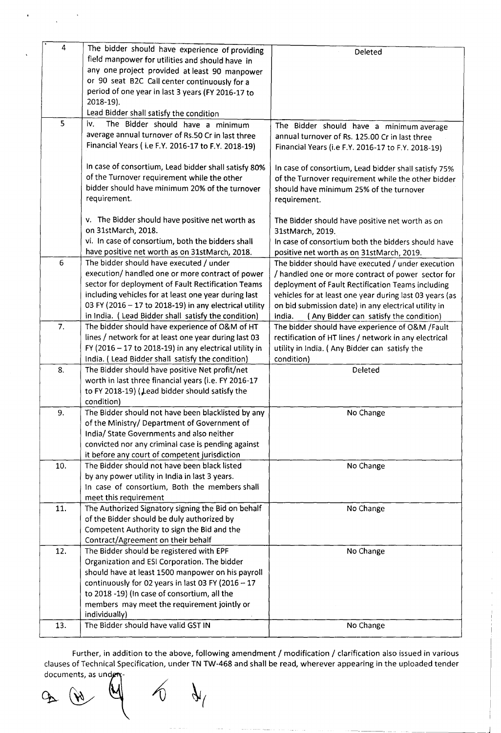| 4   |                                                          |                                                         |
|-----|----------------------------------------------------------|---------------------------------------------------------|
|     | The bidder should have experience of providing           | Deleted                                                 |
|     | field manpower for utilities and should have in          |                                                         |
|     | any one project provided at least 90 manpower            |                                                         |
|     | or 90 seat B2C Call center continuously for a            |                                                         |
|     | period of one year in last 3 years (FY 2016-17 to        |                                                         |
|     | 2018-19).                                                |                                                         |
|     | Lead Bidder shall satisfy the condition                  |                                                         |
| 5   | iv.<br>The Bidder should have a minimum                  | The Bidder should have a minimum average                |
|     | average annual turnover of Rs.50 Cr in last three        | annual turnover of Rs. 125.00 Cr in last three          |
|     | Financial Years (i.e F.Y. 2016-17 to F.Y. 2018-19)       | Financial Years (i.e F.Y. 2016-17 to F.Y. 2018-19)      |
|     |                                                          |                                                         |
|     | In case of consortium, Lead bidder shall satisfy 80%     | In case of consortium, Lead bidder shall satisfy 75%    |
|     | of the Turnover requirement while the other              | of the Turnover requirement while the other bidder      |
|     | bidder should have minimum 20% of the turnover           | should have minimum 25% of the turnover                 |
|     | requirement.                                             | requirement.                                            |
|     |                                                          |                                                         |
|     | v. The Bidder should have positive net worth as          | The Bidder should have positive net worth as on         |
|     | on 31stMarch, 2018.                                      | 31stMarch, 2019.                                        |
|     | vi. In case of consortium, both the bidders shall        | In case of consortium both the bidders should have      |
|     | have positive net worth as on 31stMarch, 2018.           | positive net worth as on 31stMarch, 2019.               |
| 6   | The bidder should have executed / under                  | The bidder should have executed / under execution       |
|     | execution/ handled one or more contract of power         | / handled one or more contract of power sector for      |
|     | sector for deployment of Fault Rectification Teams       | deployment of Fault Rectification Teams including       |
|     | including vehicles for at least one year during last     | vehicles for at least one year during last 03 years (as |
|     | 03 FY (2016 - 17 to 2018-19) in any electrical utility   | on bid submission date) in any electrical utility in    |
|     | in India. (Lead Bidder shall satisfy the condition)      | India.<br>(Any Bidder can satisfy the condition)        |
| 7.  | The bidder should have experience of O&M of HT           | The bidder should have experience of O&M /Fault         |
|     | lines / network for at least one year during last 03     | rectification of HT lines / network in any electrical   |
|     | FY (2016 $-$ 17 to 2018-19) in any electrical utility in | utility in India. (Any Bidder can satisfy the           |
|     | India. (Lead Bidder shall satisfy the condition)         | condition)                                              |
| 8.  | The Bidder should have positive Net profit/net           | Deleted                                                 |
|     | worth in last three financial years (i.e. FY 2016-17     |                                                         |
|     | to FY 2018-19) (Lead bidder should satisfy the           |                                                         |
|     | condition)                                               |                                                         |
| 9.  | The Bidder should not have been blacklisted by any       | No Change                                               |
|     | of the Ministry/ Department of Government of             |                                                         |
|     | India/ State Governments and also neither                |                                                         |
|     | convicted nor any criminal case is pending against       |                                                         |
|     | it before any court of competent jurisdiction            |                                                         |
| 10. | The Bidder should not have been black listed             | No Change                                               |
|     | by any power utility in India in last 3 years.           |                                                         |
|     | In case of consortium, Both the members shall            |                                                         |
|     | meet this requirement                                    |                                                         |
| 11. | The Authorized Signatory signing the Bid on behalf       | No Change                                               |
|     | of the Bidder should be duly authorized by               |                                                         |
|     | Competent Authority to sign the Bid and the              |                                                         |
|     | Contract/Agreement on their behalf                       |                                                         |
| 12. | The Bidder should be registered with EPF                 | No Change                                               |
|     | Organization and ESI Corporation. The bidder             |                                                         |
|     | should have at least 1500 manpower on his payroll        |                                                         |
|     | continuously for 02 years in last 03 FY (2016 $-17$      |                                                         |
|     | to 2018 -19) (In case of consortium, all the             |                                                         |
|     | members may meet the requirement jointly or              |                                                         |
|     | individually)                                            |                                                         |
| 13. | The Bidder should have valid GST IN                      | No Change                                               |
|     |                                                          |                                                         |

Further, in addition to the above, following amendment / modification / clarification also issued in various clauses of Technical Specification, under TN TW-468 and shall be read, wherever appearing in the uploaded tender

documents, as under-<br> $\omega$   $\omega$   $\omega$   $\omega$ 

à,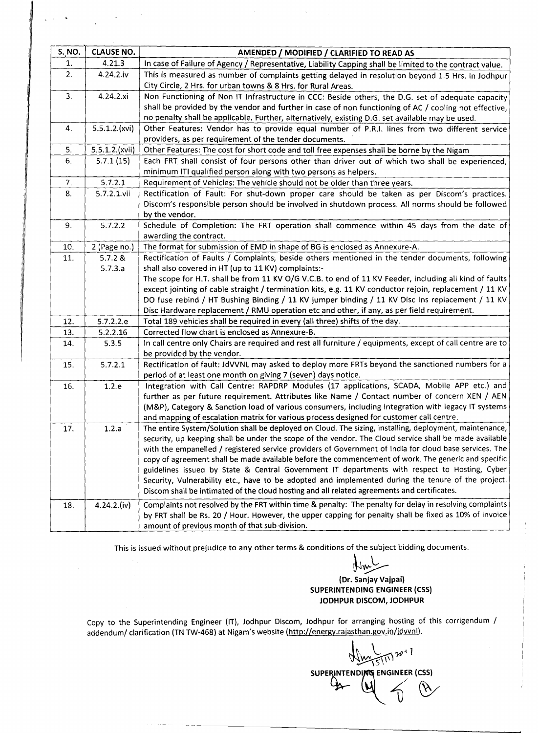| <b>S. NO.</b> | <b>CLAUSE NO.</b>       | AMENDED / MODIFIED / CLARIFIED TO READ AS                                                                 |
|---------------|-------------------------|-----------------------------------------------------------------------------------------------------------|
| 1.            | 4.21.3                  | In case of Failure of Agency / Representative, Liability Capping shall be limited to the contract value.  |
| 2.            | 4.24.2.iv               | This is measured as number of complaints getting delayed in resolution beyond 1.5 Hrs. in Jodhpur         |
|               |                         | City Circle, 2 Hrs. for urban towns & 8 Hrs. for Rural Areas.                                             |
| 3.            | 4.24.2.xi               | Non Functioning of Non IT Infrastructure in CCC: Beside others, the D.G. set of adequate capacity         |
|               |                         | shall be provided by the vendor and further in case of non functioning of AC / cooling not effective,     |
|               |                         | no penalty shall be applicable. Further, alternatively, existing D.G. set available may be used.          |
| 4.            | 5.5.1.2.(xvi)           | Other Features: Vendor has to provide equal number of P.R.I. lines from two different service             |
|               |                         | providers, as per requirement of the tender documents.                                                    |
| 5.            | 5.5.1.2.(xvii)          | Other Features: The cost for short code and toll free expenses shall be borne by the Nigam                |
| 6.            | 5.7.1(15)               | Each FRT shall consist of four persons other than driver out of which two shall be experienced,           |
|               |                         | minimum ITI qualified person along with two persons as helpers.                                           |
| 7.            | 5.7.2.1                 | Requirement of Vehicles: The vehicle should not be older than three years.                                |
| 8.            | $5.7.2.1$ .vii          | Rectification of Fault: For shut-down proper care should be taken as per Discom's practices.              |
|               |                         | Discom's responsible person should be involved in shutdown process. All norms should be followed          |
|               |                         | by the vendor.                                                                                            |
| 9.            | 5.7.2.2                 | Schedule of Completion: The FRT operation shall commence within 45 days from the date of                  |
| 10.           |                         | awarding the contract.<br>The format for submission of EMD in shape of BG is enclosed as Annexure-A.      |
|               | 2 (Page no.)<br>5.7.2 & | Rectification of Faults / Complaints, beside others mentioned in the tender documents, following          |
| 11.           | 5.7.3.a                 | shall also covered in HT (up to 11 KV) complaints:-                                                       |
|               |                         | The scope for H.T. shall be from 11 KV O/G V.C.B. to end of 11 KV Feeder, including all kind of faults    |
|               |                         | except jointing of cable straight / termination kits, e.g. 11 KV conductor rejoin, replacement / 11 KV    |
|               |                         | DO fuse rebind / HT Bushing Binding / 11 KV jumper binding / 11 KV Disc Ins replacement / 11 KV           |
|               |                         | Disc Hardware replacement / RMU operation etc and other, if any, as per field requirement.                |
| 12.           | 5.7.2.2.e               | Total 189 vehicles shall be required in every (all three) shifts of the day.                              |
| 13.           | 5.2.2.16                | Corrected flow chart is enclosed as Annexure-B.                                                           |
| 14.           | 5.3.5                   | In call centre only Chairs are required and rest all furniture / equipments, except of call centre are to |
|               |                         | be provided by the vendor.                                                                                |
| 15.           | 5.7.2.1                 | Rectification of fault: JdVVNL may asked to deploy more FRTs beyond the sanctioned numbers for a          |
|               |                         | period of at least one month on giving 7 (seven) days notice.                                             |
| 16.           | 1.2.e                   | Integration with Call Centre: RAPDRP Modules (17 applications, SCADA, Mobile APP etc.) and                |
|               |                         | further as per future requirement. Attributes like Name / Contact number of concern XEN / AEN             |
|               |                         | (M&P), Category & Sanction load of various consumers, including integration with legacy IT systems        |
|               |                         | and mapping of escalation matrix for various process designed for customer call centre.                   |
| $1/$ .        | 1.2.a                   | The entire System/Solution shall be deployed on Cloud. The sizing, installing, deployment, maintenance,   |
|               |                         | security, up keeping shall be under the scope of the vendor. The Cloud service shall be made available    |
|               |                         | with the empanelled / registered service providers of Government of India for cloud base services. The    |
|               |                         | copy of agreement shall be made available before the commencement of work. The generic and specific       |
|               |                         | guidelines issued by State & Central Government IT departments with respect to Hosting, Cyber             |
|               |                         | Security, Vulnerability etc., have to be adopted and implemented during the tenure of the project.        |
|               |                         | Discom shall be intimated of the cloud hosting and all related agreements and certificates.               |
| 18.           | $4.24.2$ .(iv)          | Complaints not resolved by the FRT within time & penalty: The penalty for delay in resolving complaints   |
|               |                         | by FRT shall be Rs. 20 / Hour. However, the upper capping for penalty shall be fixed as 10% of invoice    |
|               |                         | amount of previous month of that sub-division.                                                            |

This is issued without prejudice to any other terms & conditions of the subject bidding documents.

~~

#### (Dr. Sanjay Vajpai) SUPERINTENDING ENGINEER (CSS) JODHPUR DISCOM, JODHPUR

Copy to the Superintending Engineer (IT), Jodhpur Discom, Jodhpur for arranging hosting of this corrigendum / addendum/ clarification (TNTW-468) at Nigam's website (http://energy.rajasthan.gov.in/jdvvnl).

 $\frac{1}{\sqrt{2}}$ SUPERINTENDING ENGINEER (CSS)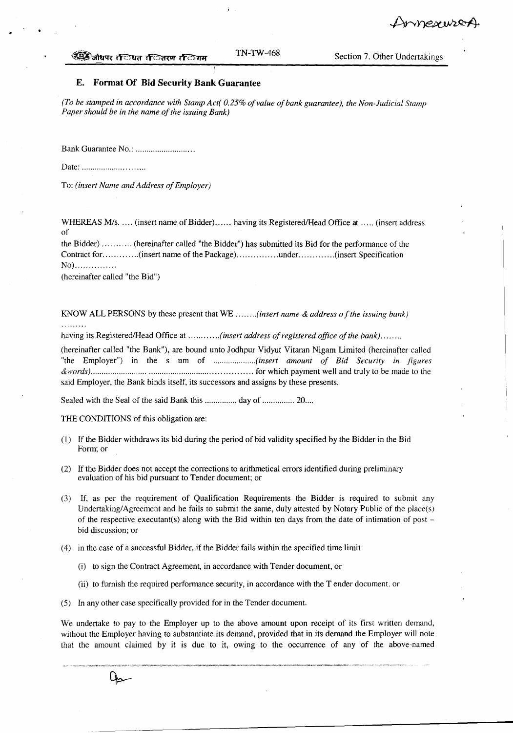mnexwer

#### <sup>≪</sup>िजोधपर र**िधत र**ितरण रस्तिगम

#### E. **Format Of Bid Security Bank Guarantee**

*(To be stamped in accordance with Stamp Act( 0.25% of value of bank guarantee), the Non-Judicial Stamp Paper should be in the name of the issuing Bank}*

Bank Guarantee No.: .

Date: .

•

To: *(insert Name and Address of Employer)*

WHEREAS  $M/s$ .  $\dots$  (insert name of Bidder)  $\dots$  having its Registered/Head Office at  $\dots$  (insert address of

the Bidder) (hereinafter called "the Bidder") has submitted its Bid for the performance of the Contract for .............(insert name of the Package) ...............under .............(insert Specification No)................

(hereinafter called "the Bid")

KNOW ALL PERSONS by these present that WE *(insert name* & *address of the issuing bank)*

having its RegisteredlHead Office at *(insert address of registered office of the bank) .*

(hereinafter called "the Bank"), are bound unto Jodhpur Vidyut Vitaran Nigam Limited (hereinafter called "the Employer") in the s um of ......................(insert amount of Bid Security in figures *&words}* for which payment well and truly to be made to the said Employer, the Bank binds itself, its successors and assigns by these presents.

Sealed with the Seal of the said Bank this ............... day of ............... 20....

THE CONDITIONS of this obligation are:

- (I) If the Bidder withdraws its bid during the period of bid validity specified by the Bidder in the Bid Form; or
- (2) If the Bidder does not accept the corrections to arithmetical errors identified during preliminary evaluation of his bid pursuant to Tender document; or
- (3) If, as per the requirement of Qualification Requirements the Bidder is required to submit any Undertaking/Agreement and he fails to submit the same, duly attested by Notary Public of the place(s) of the respective executant(s) along with the Bid within ten days from the date of intimation of post bid discussion; or
- (4) in the case of a successful Bidder, if the Bidder fails within the specified time limit
	- (i) to sign the Contract Agreement, in accordance with Tender document, or
	- (ii) to furnish the required performance security, in accordance with the Tender document. or
- (5) In any other case specifically provided for in the Tender document.

We undertake to pay to the Employer up to the above amount upon receipt of its first written demand, without the Employer having to substantiate its demand, provided that in its demand the Employer will note that the amount claimed by it is due to it, owing to the occurrence of any of the above-named

Qs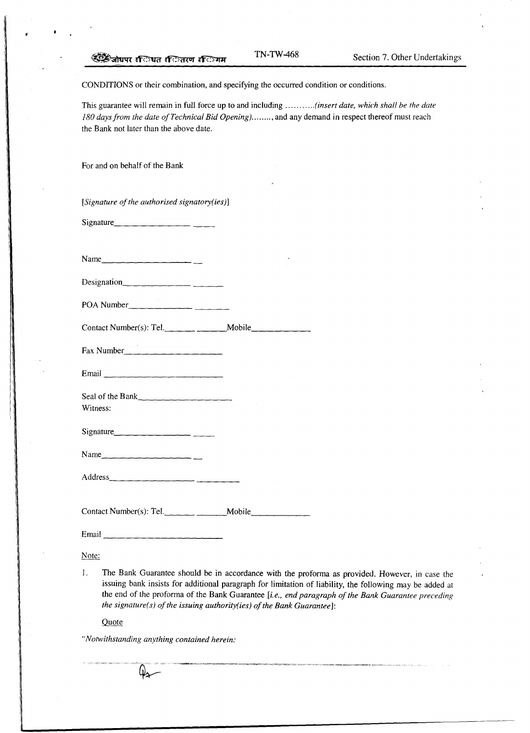CONDITIONS or their combination, and specifying the occurred condition or conditions.

This guarantee will remain in full force up to and including *(insert date, which shall be the date 180 days from the date of Technical Bid Opening) .. '" ... ,* and any demand in respect thereof must reach the Bank not later than the above date.

For and on behalf of the Bank

*[Signature of the authorised signatory(ies)]*

Signature, \_

Name \_

Designation

POA Number \_

 $\text{Context Number(s): Tel.}$  Mobile

Fax Number  $\frac{1}{2}$   $\frac{1}{2}$   $\frac{1}{2}$   $\frac{1}{2}$   $\frac{1}{2}$   $\frac{1}{2}$   $\frac{1}{2}$   $\frac{1}{2}$   $\frac{1}{2}$   $\frac{1}{2}$   $\frac{1}{2}$   $\frac{1}{2}$   $\frac{1}{2}$   $\frac{1}{2}$   $\frac{1}{2}$   $\frac{1}{2}$   $\frac{1}{2}$   $\frac{1}{2}$   $\frac{1}{2}$   $\frac{1}{2}$   $\frac{1}{2}$ 

Email \_

Seal of the Bank $\frac{1}{2}$   $\frac{1}{2}$   $\frac{1}{2}$   $\frac{1}{2}$   $\frac{1}{2}$   $\frac{1}{2}$   $\frac{1}{2}$   $\frac{1}{2}$   $\frac{1}{2}$   $\frac{1}{2}$   $\frac{1}{2}$   $\frac{1}{2}$   $\frac{1}{2}$   $\frac{1}{2}$   $\frac{1}{2}$   $\frac{1}{2}$   $\frac{1}{2}$   $\frac{1}{2}$   $\frac{1}{2}$   $\frac{1}{2}$   $\frac{1$ Witness:

Signature \_

 $Name_$ 

Address \_

Contact Number(s): Tel. \_\_\_\_\_\_\_\_\_\_\_\_\_\_\_Mobile \_\_\_\_\_\_\_\_\_\_\_\_\_\_\_\_\_\_\_\_\_\_\_\_\_\_\_\_\_\_\_\_\_\_\_

Email

#### Note:

I. The Bank Guarantee should be in accordance with the proforma as provided. However, in case the issuing bank insists for additional paragraph for limitation of liability, the following may be added at the end of the proforma of the Bank Guarantee *[i.e., end paragraph of the Bank Guarantee preceding the signaturei s) of the issuing authority( ies) of the Bank Guarantee]:*

Quote

*"Notwithstanding anything contained herein:*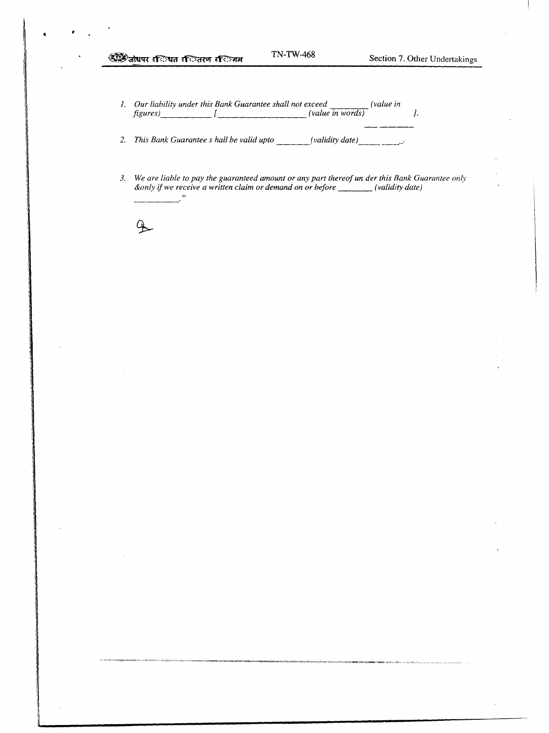*I. Our liability under this Bank Guarantee shall not exceed (value in figures) [ (value in words) ].*

*2. This Bank Guarantee* s *hall be valid upto (validity date } '*

3. We are liable to pay the guaranteed amount or any part thereof un der this Bank Guarantee only *&only if we receive a written claim or demand on or before (validity date)* $\overline{\phantom{a}}$ 

4